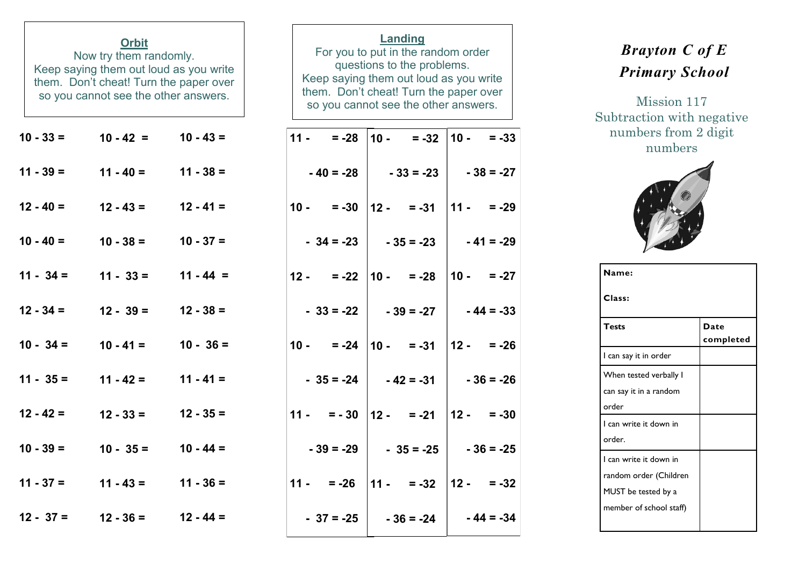| <b>Orbit</b><br>Now try them randomly.<br>Keep saying them out loud as you write<br>them. Don't cheat! Turn the paper over<br>so you cannot see the other answers. |                                 |             |        | Landing<br>questions to the problems.         | For you to put in the random order<br>Keep saying them out loud as you write<br>them. Don't cheat! Turn the paper over<br>so you cannot see the other answers. |                        |                |             |
|--------------------------------------------------------------------------------------------------------------------------------------------------------------------|---------------------------------|-------------|--------|-----------------------------------------------|----------------------------------------------------------------------------------------------------------------------------------------------------------------|------------------------|----------------|-------------|
| $10 - 33 =$                                                                                                                                                        | $10 - 42 = 10 - 43 =$           |             | $11 -$ | $= -28$                                       |                                                                                                                                                                | $10 - 32$              | $10 - 7 = -33$ |             |
| $11 - 39 =$                                                                                                                                                        | $11 - 40 = 11 - 38 =$           |             |        | $-40 = -28$                                   |                                                                                                                                                                | $-33 = -23$            |                | $-38 = -27$ |
| $12 - 40 =$                                                                                                                                                        | $12 - 43 = 12 - 41 =$           |             | $10 -$ |                                               |                                                                                                                                                                | $= -30$   12 - = -31   | $ 11 - 29 $    |             |
| $10 - 40 =$                                                                                                                                                        | $10 - 38 = 10 - 37 =$           |             |        | $-34 = -23$                                   |                                                                                                                                                                | $-35 = -23$            |                | $-41 = -29$ |
| $11 - 34 =$                                                                                                                                                        | $11 - 33 = 11 - 44 =$           |             | $12 -$ |                                               |                                                                                                                                                                | $= -22$   10 - $= -28$ | $10 - 27$      |             |
| $12 - 34 =$                                                                                                                                                        | $12 - 39 = 12 - 38 =$           |             |        | $-33 = -22$                                   |                                                                                                                                                                | $-39 = -27$            |                | $-44 = -33$ |
| $10 - 34 =$                                                                                                                                                        | $10 - 41 =$                     | $10 - 36 =$ |        | $10 - 24 \mid 10 - 31 \mid$                   |                                                                                                                                                                |                        | $12 - 26$      |             |
| $11 - 35 =$                                                                                                                                                        | $11 - 42 = 11 - 41 =$           |             |        | $-35 = -24$                                   |                                                                                                                                                                | $-42 = -31$            |                | $-36 = -26$ |
| $12 - 42 =$                                                                                                                                                        | $12 - 33 = 12 - 35 =$           |             |        | $11 - 7 = -30$   $12 - 7 = -21$               |                                                                                                                                                                |                        | $12 - 7 = -30$ |             |
| $10 - 39 =$                                                                                                                                                        | $10 - 35 =$                     | $10 - 44 =$ |        | $-39 = -29$                                   |                                                                                                                                                                | $-35 = -25$            |                | $-36 = -25$ |
|                                                                                                                                                                    | $11 - 37 = 11 - 43 = 11 - 36 =$ |             |        | $11 - 26$   $11 - 26$   $12 - 32$   $12 - 32$ |                                                                                                                                                                |                        |                |             |
|                                                                                                                                                                    | $12 - 37 = 12 - 36 = 12 - 44 =$ |             |        | $-37 = -25$                                   |                                                                                                                                                                | $-36 = -24$            |                | $-44 = -34$ |

## *Brayton C of E Primary School*

Mission 117 Subtraction with negative numbers from 2 digit numbers



| Name:                   |                   |
|-------------------------|-------------------|
| Class:                  |                   |
| <b>Tests</b>            | Date<br>completed |
| I can say it in order   |                   |
| When tested verbally I  |                   |
| can say it in a random  |                   |
| order                   |                   |
| I can write it down in  |                   |
| order.                  |                   |
| I can write it down in  |                   |
| random order (Children  |                   |
| MUST be tested by a     |                   |
| member of school staff) |                   |
|                         |                   |